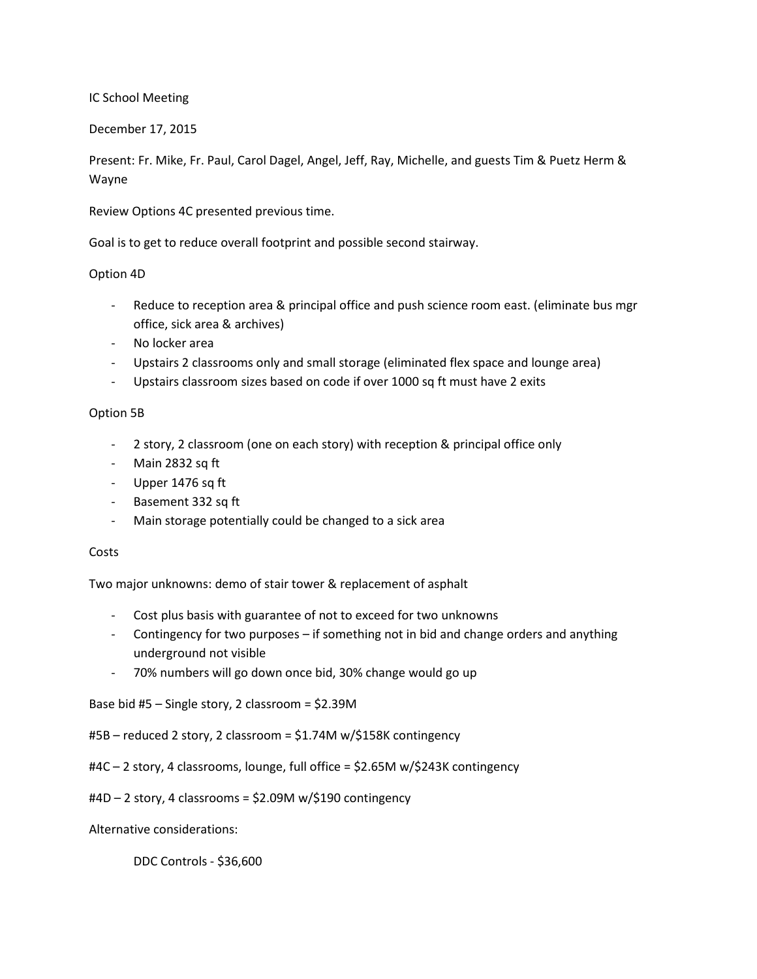IC School Meeting

December 17, 2015

Present: Fr. Mike, Fr. Paul, Carol Dagel, Angel, Jeff, Ray, Michelle, and guests Tim & Puetz Herm & Wayne

Review Options 4C presented previous time.

Goal is to get to reduce overall footprint and possible second stairway.

## Option 4D

- Reduce to reception area & principal office and push science room east. (eliminate bus mgr office, sick area & archives)
- No locker area
- Upstairs 2 classrooms only and small storage (eliminated flex space and lounge area)
- Upstairs classroom sizes based on code if over 1000 sq ft must have 2 exits

## Option 5B

- 2 story, 2 classroom (one on each story) with reception & principal office only
- Main 2832 sq ft
- Upper 1476 sq ft
- Basement 332 sq ft
- Main storage potentially could be changed to a sick area

## **Costs**

Two major unknowns: demo of stair tower & replacement of asphalt

- Cost plus basis with guarantee of not to exceed for two unknowns
- Contingency for two purposes if something not in bid and change orders and anything underground not visible
- 70% numbers will go down once bid, 30% change would go up

Base bid #5 – Single story, 2 classroom = \$2.39M

#5B – reduced 2 story, 2 classroom = \$1.74M w/\$158K contingency

#4C – 2 story, 4 classrooms, lounge, full office = \$2.65M w/\$243K contingency

#4D – 2 story, 4 classrooms = \$2.09M w/\$190 contingency

Alternative considerations:

DDC Controls - \$36,600